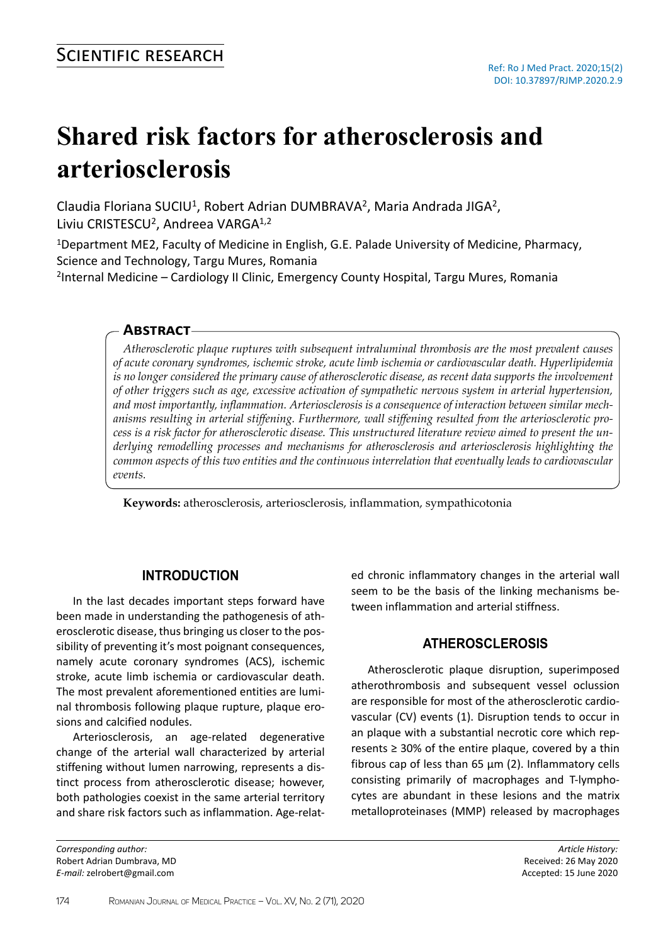# **Shared risk factors for atherosclerosis and arteriosclerosis**

Claudia Floriana SUCIU<sup>1</sup>, Robert Adrian DUMBRAVA<sup>2</sup>, Maria Andrada JIGA<sup>2</sup>, Liviu CRISTESCU<sup>2</sup>, Andreea VARGA<sup>1,2</sup>

<sup>1</sup>Department ME2, Faculty of Medicine in English, G.E. Palade University of Medicine, Pharmacy, Science and Technology, Targu Mures, Romania

<sup>2</sup>Internal Medicine – Cardiology II Clinic, Emergency County Hospital, Targu Mures, Romania

## **Abstract**

*Atherosclerotic plaque ruptures with subsequent intraluminal thrombosis are the most prevalent causes of acute coronary syndromes, ischemic stroke, acute limb ischemia or cardiovascular death. Hyperlipidemia is no longer considered the primary cause of atherosclerotic disease, as recent data supports the involvement of other triggers such as age, excessive activation of sympathetic nervous system in arterial hypertension, and most importantly, inflammation. Arteriosclerosis is a consequence of interaction between similar mechanisms resulting in arterial stiffening. Furthermore, wall stiffening resulted from the arteriosclerotic process is a risk factor for atherosclerotic disease. This unstructured literature review aimed to present the underlying remodelling processes and mechanisms for atherosclerosis and arteriosclerosis highlighting the common aspects of this two entities and the continuous interrelation that eventually leads to cardiovascular events.* 

**Keywords:** atherosclerosis, arteriosclerosis, inflammation, sympathicotonia

### **INTRODUCTION**

In the last decades important steps forward have been made in understanding the pathogenesis of atherosclerotic disease, thus bringing us closer to the possibility of preventing it's most poignant consequences, namely acute coronary syndromes (ACS), ischemic stroke, acute limb ischemia or cardiovascular death. The most prevalent aforementioned entities are luminal thrombosis following plaque rupture, plaque erosions and calcified nodules.

Arteriosclerosis, an age-related degenerative change of the arterial wall characterized by arterial stiffening without lumen narrowing, represents a distinct process from atherosclerotic disease; however, both pathologies coexist in the same arterial territory and share risk factors such as inflammation. Age-relat-

*Corresponding author:* Robert Adrian Dumbrava, MD *E-mail:* zelrobert@gmail.com

ed chronic inflammatory changes in the arterial wall seem to be the basis of the linking mechanisms between inflammation and arterial stiffness.

# **ATHEROSCLEROSIS**

Atherosclerotic plaque disruption, superimposed atherothrombosis and subsequent vessel oclussion are responsible for most of the atherosclerotic cardiovascular (CV) events (1). Disruption tends to occur in an plaque with a substantial necrotic core which represents ≥ 30% of the entire plaque, covered by a thin fibrous cap of less than 65 µm (2). Inflammatory cells consisting primarily of macrophages and T-lymphocytes are abundant in these lesions and the matrix metalloproteinases (MMP) released by macrophages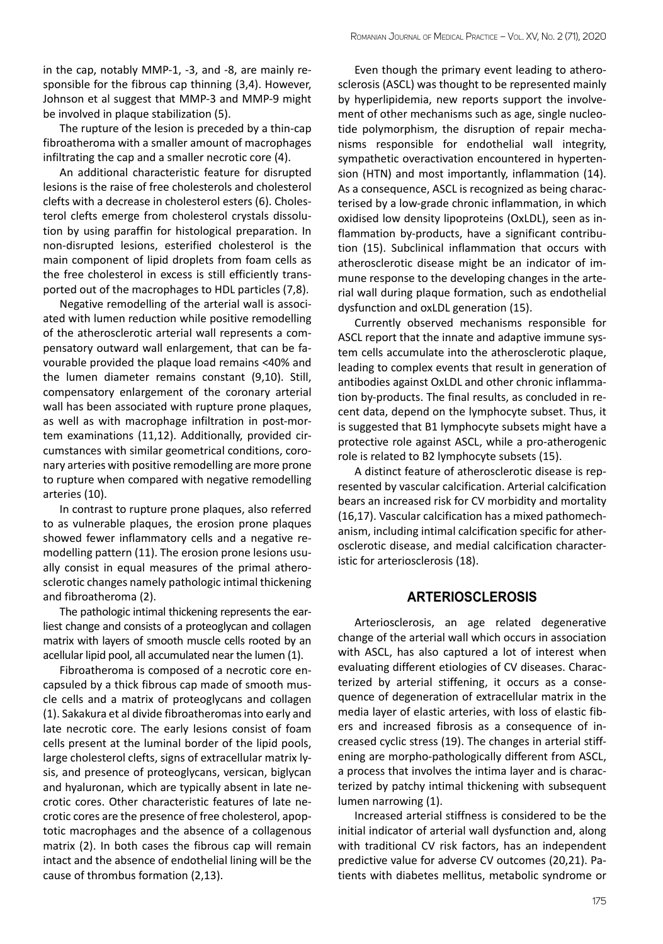in the cap, notably MMP-1, -3, and -8, are mainly responsible for the fibrous cap thinning (3,4). However, Johnson et al suggest that MMP-3 and MMP-9 might be involved in plaque stabilization (5).

The rupture of the lesion is preceded by a thin-cap fibroatheroma with a smaller amount of macrophages infiltrating the cap and a smaller necrotic core (4).

An additional characteristic feature for disrupted lesions is the raise of free cholesterols and cholesterol clefts with a decrease in cholesterol esters (6). Cholesterol clefts emerge from cholesterol crystals dissolution by using paraffin for histological preparation. In non-disrupted lesions, esterified cholesterol is the main component of lipid droplets from foam cells as the free cholesterol in excess is still efficiently transported out of the macrophages to HDL particles (7,8).

Negative remodelling of the arterial wall is associated with lumen reduction while positive remodelling of the atherosclerotic arterial wall represents a compensatory outward wall enlargement, that can be favourable provided the plaque load remains <40% and the lumen diameter remains constant (9,10). Still, compensatory enlargement of the coronary arterial wall has been associated with rupture prone plaques, as well as with macrophage infiltration in post-mortem examinations (11,12). Additionally, provided circumstances with similar geometrical conditions, coronary arteries with positive remodelling are more prone to rupture when compared with negative remodelling arteries (10).

In contrast to rupture prone plaques, also referred to as vulnerable plaques, the erosion prone plaques showed fewer inflammatory cells and a negative remodelling pattern (11). The erosion prone lesions usually consist in equal measures of the primal atherosclerotic changes namely pathologic intimal thickening and fibroatheroma (2).

The pathologic intimal thickening represents the earliest change and consists of a proteoglycan and collagen matrix with layers of smooth muscle cells rooted by an acellular lipid pool, all accumulated near the lumen (1).

Fibroatheroma is composed of a necrotic core encapsuled by a thick fibrous cap made of smooth muscle cells and a matrix of proteoglycans and collagen (1). Sakakura et al divide fibroatheromas into early and late necrotic core. The early lesions consist of foam cells present at the luminal border of the lipid pools, large cholesterol clefts, signs of extracellular matrix lysis, and presence of proteoglycans, versican, biglycan and hyaluronan, which are typically absent in late necrotic cores. Other characteristic features of late necrotic cores are the presence of free cholesterol, apoptotic macrophages and the absence of a collagenous matrix (2). In both cases the fibrous cap will remain intact and the absence of endothelial lining will be the cause of thrombus formation (2,13).

Even though the primary event leading to atherosclerosis (ASCL) was thought to be represented mainly by hyperlipidemia, new reports support the involvement of other mechanisms such as age, single nucleotide polymorphism, the disruption of repair mechanisms responsible for endothelial wall integrity, sympathetic overactivation encountered in hypertension (HTN) and most importantly, inflammation (14). As a consequence, ASCL is recognized as being characterised by a low-grade chronic inflammation, in which oxidised low density lipoproteins (OxLDL), seen as inflammation by-products, have a significant contribution (15). Subclinical inflammation that occurs with atherosclerotic disease might be an indicator of immune response to the developing changes in the arterial wall during plaque formation, such as endothelial dysfunction and oxLDL generation (15).

Currently observed mechanisms responsible for ASCL report that the innate and adaptive immune system cells accumulate into the atherosclerotic plaque, leading to complex events that result in generation of antibodies against OxLDL and other chronic inflammation by-products. The final results, as concluded in recent data, depend on the lymphocyte subset. Thus, it is suggested that B1 lymphocyte subsets might have a protective role against ASCL, while a pro-atherogenic role is related to B2 lymphocyte subsets (15).

A distinct feature of atherosclerotic disease is represented by vascular calcification. Arterial calcification bears an increased risk for CV morbidity and mortality (16,17). Vascular calcification has a mixed pathomechanism, including intimal calcification specific for atherosclerotic disease, and medial calcification characteristic for arteriosclerosis (18).

#### **ARTERIOSCLEROSIS**

Arteriosclerosis, an age related degenerative change of the arterial wall which occurs in association with ASCL, has also captured a lot of interest when evaluating different etiologies of CV diseases. Characterized by arterial stiffening, it occurs as a consequence of degeneration of extracellular matrix in the media layer of elastic arteries, with loss of elastic fibers and increased fibrosis as a consequence of increased cyclic stress (19). The changes in arterial stiffening are morpho-pathologically different from ASCL, a process that involves the intima layer and is characterized by patchy intimal thickening with subsequent lumen narrowing (1).

Increased arterial stiffness is considered to be the initial indicator of arterial wall dysfunction and, along with traditional CV risk factors, has an independent predictive value for adverse CV outcomes (20,21). Patients with diabetes mellitus, metabolic syndrome or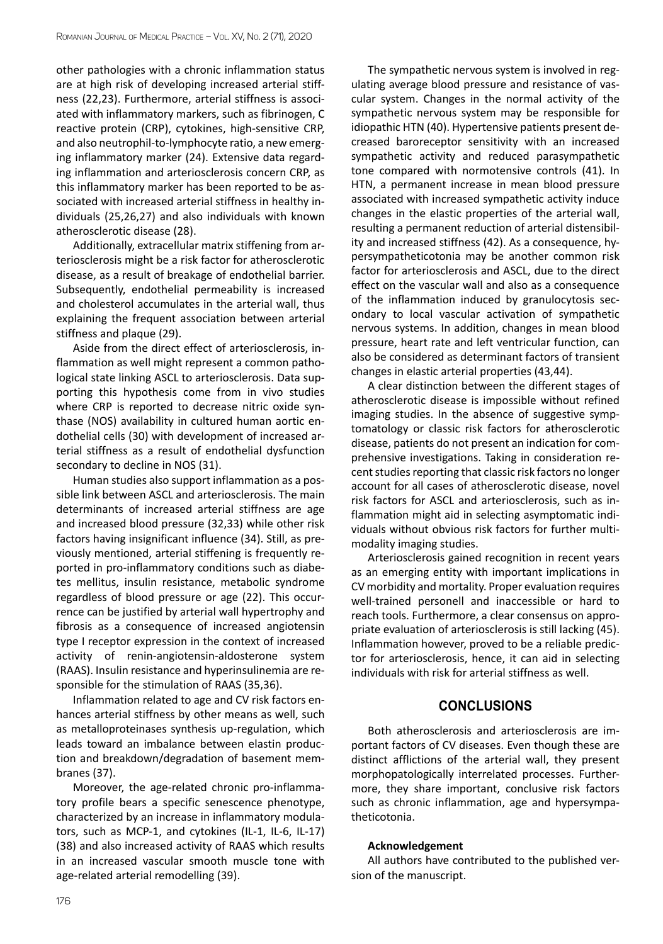other pathologies with a chronic inflammation status are at high risk of developing increased arterial stiffness (22,23). Furthermore, arterial stiffness is associated with inflammatory markers, such as fibrinogen, C reactive protein (CRP), cytokines, high-sensitive CRP, and also neutrophil-to-lymphocyte ratio, a new emerging inflammatory marker (24). Extensive data regarding inflammation and arteriosclerosis concern CRP, as this inflammatory marker has been reported to be associated with increased arterial stiffness in healthy individuals (25,26,27) and also individuals with known atherosclerotic disease (28).

Additionally, extracellular matrix stiffening from arteriosclerosis might be a risk factor for atherosclerotic disease, as a result of breakage of endothelial barrier. Subsequently, endothelial permeability is increased and cholesterol accumulates in the arterial wall, thus explaining the frequent association between arterial stiffness and plaque (29).

Aside from the direct effect of arteriosclerosis, inflammation as well might represent a common pathological state linking ASCL to arteriosclerosis. Data supporting this hypothesis come from in vivo studies where CRP is reported to decrease nitric oxide synthase (NOS) availability in cultured human aortic endothelial cells (30) with development of increased arterial stiffness as a result of endothelial dysfunction secondary to decline in NOS (31).

Human studies also support inflammation as a possible link between ASCL and arteriosclerosis. The main determinants of increased arterial stiffness are age and increased blood pressure (32,33) while other risk factors having insignificant influence (34). Still, as previously mentioned, arterial stiffening is frequently reported in pro-inflammatory conditions such as diabetes mellitus, insulin resistance, metabolic syndrome regardless of blood pressure or age (22). This occurrence can be justified by arterial wall hypertrophy and fibrosis as a consequence of increased angiotensin type I receptor expression in the context of increased activity of renin-angiotensin-aldosterone system (RAAS). Insulin resistance and hyperinsulinemia are responsible for the stimulation of RAAS (35,36).

Inflammation related to age and CV risk factors enhances arterial stiffness by other means as well, such as metalloproteinases synthesis up-regulation, which leads toward an imbalance between elastin production and breakdown/degradation of basement membranes (37).

Moreover, the age-related chronic pro-inflammatory profile bears a specific senescence phenotype, characterized by an increase in inflammatory modulators, such as MCP-1, and cytokines (IL-1, IL-6, IL-17) (38) and also increased activity of RAAS which results in an increased vascular smooth muscle tone with age-related arterial remodelling (39).

The sympathetic nervous system is involved in regulating average blood pressure and resistance of vascular system. Changes in the normal activity of the sympathetic nervous system may be responsible for idiopathic HTN (40). Hypertensive patients present decreased baroreceptor sensitivity with an increased sympathetic activity and reduced parasympathetic tone compared with normotensive controls (41). In HTN, a permanent increase in mean blood pressure associated with increased sympathetic activity induce changes in the elastic properties of the arterial wall, resulting a permanent reduction of arterial distensibility and increased stiffness (42). As a consequence, hypersympatheticotonia may be another common risk factor for arteriosclerosis and ASCL, due to the direct effect on the vascular wall and also as a consequence of the inflammation induced by granulocytosis secondary to local vascular activation of sympathetic nervous systems. In addition, changes in mean blood pressure, heart rate and left ventricular function, can also be considered as determinant factors of transient changes in elastic arterial properties (43,44).

A clear distinction between the different stages of atherosclerotic disease is impossible without refined imaging studies. In the absence of suggestive symptomatology or classic risk factors for atherosclerotic disease, patients do not present an indication for comprehensive investigations. Taking in consideration recent studies reporting that classic risk factors no longer account for all cases of atherosclerotic disease, novel risk factors for ASCL and arteriosclerosis, such as inflammation might aid in selecting asymptomatic individuals without obvious risk factors for further multimodality imaging studies.

Arteriosclerosis gained recognition in recent years as an emerging entity with important implications in CV morbidity and mortality. Proper evaluation requires well-trained personell and inaccessible or hard to reach tools. Furthermore, a clear consensus on appropriate evaluation of arteriosclerosis is still lacking (45). Inflammation however, proved to be a reliable predictor for arteriosclerosis, hence, it can aid in selecting individuals with risk for arterial stiffness as well.

### **CONCLUSIONS**

Both atherosclerosis and arteriosclerosis are important factors of CV diseases. Even though these are distinct afflictions of the arterial wall, they present morphopatologically interrelated processes. Furthermore, they share important, conclusive risk factors such as chronic inflammation, age and hypersympatheticotonia.

#### **Acknowledgement**

All authors have contributed to the published version of the manuscript.